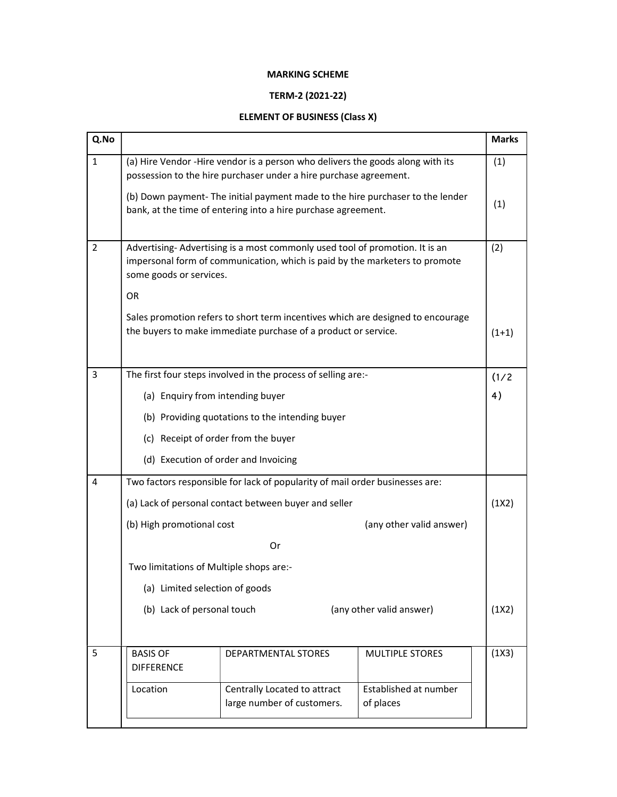## MARKING SCHEME

## TERM-2 (2021-22)

## ELEMENT OF BUSINESS (Class X)

| Q.No           |                                                                                                                                                                                             |                                                            |                                    | <b>Marks</b> |  |  |
|----------------|---------------------------------------------------------------------------------------------------------------------------------------------------------------------------------------------|------------------------------------------------------------|------------------------------------|--------------|--|--|
| $\mathbf{1}$   | (a) Hire Vendor -Hire vendor is a person who delivers the goods along with its<br>possession to the hire purchaser under a hire purchase agreement.                                         |                                                            |                                    | (1)          |  |  |
|                | (b) Down payment- The initial payment made to the hire purchaser to the lender<br>bank, at the time of entering into a hire purchase agreement.                                             |                                                            |                                    |              |  |  |
| $\overline{2}$ | Advertising-Advertising is a most commonly used tool of promotion. It is an<br>impersonal form of communication, which is paid by the marketers to promote<br>some goods or services.<br>OR |                                                            |                                    | (2)          |  |  |
|                | Sales promotion refers to short term incentives which are designed to encourage<br>the buyers to make immediate purchase of a product or service.<br>$(1+1)$                                |                                                            |                                    |              |  |  |
| 3              | The first four steps involved in the process of selling are:-                                                                                                                               |                                                            |                                    |              |  |  |
|                | 4)<br>(a) Enquiry from intending buyer                                                                                                                                                      |                                                            |                                    |              |  |  |
|                | (b) Providing quotations to the intending buyer                                                                                                                                             |                                                            |                                    |              |  |  |
|                | (c) Receipt of order from the buyer                                                                                                                                                         |                                                            |                                    |              |  |  |
|                | (d) Execution of order and Invoicing                                                                                                                                                        |                                                            |                                    |              |  |  |
| 4              | Two factors responsible for lack of popularity of mail order businesses are:                                                                                                                |                                                            |                                    |              |  |  |
|                | (a) Lack of personal contact between buyer and seller                                                                                                                                       |                                                            |                                    |              |  |  |
|                | (b) High promotional cost<br>(any other valid answer)                                                                                                                                       |                                                            |                                    |              |  |  |
|                | Or                                                                                                                                                                                          |                                                            |                                    |              |  |  |
|                | Two limitations of Multiple shops are:-<br>(a) Limited selection of goods                                                                                                                   |                                                            |                                    |              |  |  |
|                |                                                                                                                                                                                             |                                                            |                                    |              |  |  |
|                | (b) Lack of personal touch<br>(any other valid answer)                                                                                                                                      |                                                            |                                    |              |  |  |
|                |                                                                                                                                                                                             |                                                            |                                    |              |  |  |
| 5              | <b>BASIS OF</b><br><b>DIFFERENCE</b>                                                                                                                                                        | DEPARTMENTAL STORES                                        | <b>MULTIPLE STORES</b>             | (1X3)        |  |  |
|                | Location                                                                                                                                                                                    | Centrally Located to attract<br>large number of customers. | Established at number<br>of places |              |  |  |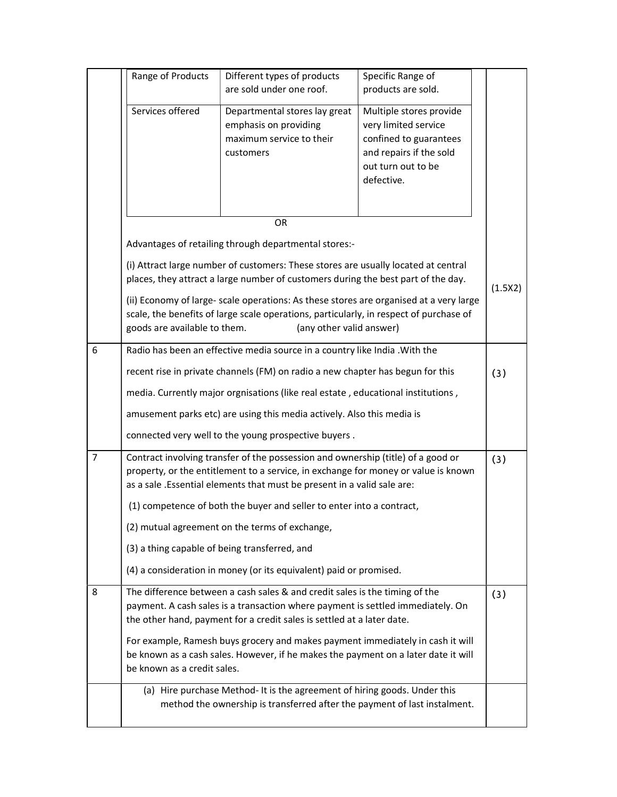|                | Range of Products                                                                                                                                                                                                                                       | Different types of products<br>are sold under one roof.                                         | Specific Range of<br>products are sold.                                                                                                  |     |  |
|----------------|---------------------------------------------------------------------------------------------------------------------------------------------------------------------------------------------------------------------------------------------------------|-------------------------------------------------------------------------------------------------|------------------------------------------------------------------------------------------------------------------------------------------|-----|--|
|                | Services offered                                                                                                                                                                                                                                        | Departmental stores lay great<br>emphasis on providing<br>maximum service to their<br>customers | Multiple stores provide<br>very limited service<br>confined to guarantees<br>and repairs if the sold<br>out turn out to be<br>defective. |     |  |
|                | OR                                                                                                                                                                                                                                                      |                                                                                                 |                                                                                                                                          |     |  |
|                | Advantages of retailing through departmental stores:-                                                                                                                                                                                                   |                                                                                                 |                                                                                                                                          |     |  |
|                | (i) Attract large number of customers: These stores are usually located at central<br>places, they attract a large number of customers during the best part of the day.                                                                                 |                                                                                                 |                                                                                                                                          |     |  |
|                | (1.5X2)<br>(ii) Economy of large- scale operations: As these stores are organised at a very large<br>scale, the benefits of large scale operations, particularly, in respect of purchase of<br>goods are available to them.<br>(any other valid answer) |                                                                                                 |                                                                                                                                          |     |  |
| 6              | Radio has been an effective media source in a country like India . With the                                                                                                                                                                             |                                                                                                 |                                                                                                                                          |     |  |
|                | recent rise in private channels (FM) on radio a new chapter has begun for this                                                                                                                                                                          |                                                                                                 |                                                                                                                                          | (3) |  |
|                | media. Currently major orgnisations (like real estate, educational institutions,                                                                                                                                                                        |                                                                                                 |                                                                                                                                          |     |  |
|                | amusement parks etc) are using this media actively. Also this media is                                                                                                                                                                                  |                                                                                                 |                                                                                                                                          |     |  |
|                | connected very well to the young prospective buyers.                                                                                                                                                                                                    |                                                                                                 |                                                                                                                                          |     |  |
| $\overline{7}$ | Contract involving transfer of the possession and ownership (title) of a good or<br>property, or the entitlement to a service, in exchange for money or value is known<br>as a sale .Essential elements that must be present in a valid sale are:       |                                                                                                 |                                                                                                                                          | (3) |  |
|                | (1) competence of both the buyer and seller to enter into a contract,                                                                                                                                                                                   |                                                                                                 |                                                                                                                                          |     |  |
|                | (2) mutual agreement on the terms of exchange,                                                                                                                                                                                                          |                                                                                                 |                                                                                                                                          |     |  |
|                | (3) a thing capable of being transferred, and                                                                                                                                                                                                           |                                                                                                 |                                                                                                                                          |     |  |
|                | (4) a consideration in money (or its equivalent) paid or promised.                                                                                                                                                                                      |                                                                                                 |                                                                                                                                          |     |  |
| 8              | The difference between a cash sales & and credit sales is the timing of the<br>payment. A cash sales is a transaction where payment is settled immediately. On<br>the other hand, payment for a credit sales is settled at a later date.                |                                                                                                 |                                                                                                                                          | (3) |  |
|                | For example, Ramesh buys grocery and makes payment immediately in cash it will<br>be known as a cash sales. However, if he makes the payment on a later date it will<br>be known as a credit sales.                                                     |                                                                                                 |                                                                                                                                          |     |  |
|                | (a) Hire purchase Method- It is the agreement of hiring goods. Under this<br>method the ownership is transferred after the payment of last instalment.                                                                                                  |                                                                                                 |                                                                                                                                          |     |  |